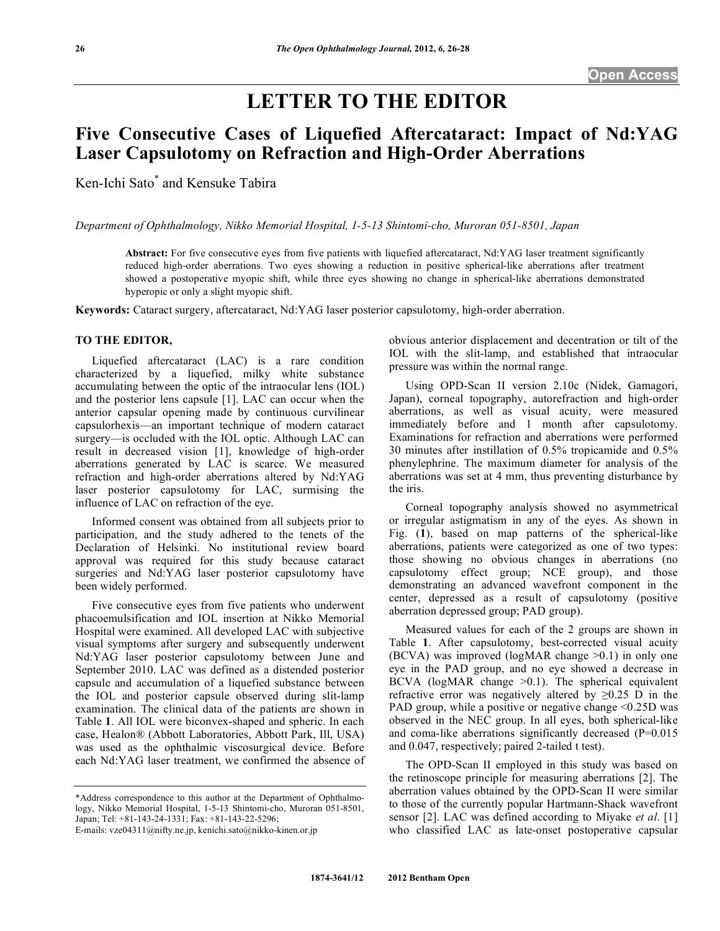# **LETTER TO THE EDITOR**

## **Five Consecutive Cases of Liquefied Aftercataract: Impact of Nd:YAG Laser Capsulotomy on Refraction and High-Order Aberrations**

Ken-Ichi Sato\* and Kensuke Tabira

*Department of Ophthalmology, Nikko Memorial Hospital, 1-5-13 Shintomi-cho, Muroran 051-8501, Japan*

**Abstract:** For five consecutive eyes from five patients with liquefied aftercataract, Nd:YAG laser treatment significantly reduced high-order aberrations. Two eyes showing a reduction in positive spherical-like aberrations after treatment showed a postoperative myopic shift, while three eyes showing no change in spherical-like aberrations demonstrated hyperopic or only a slight myopic shift.

**Keywords:** Cataract surgery, aftercataract, Nd:YAG laser posterior capsulotomy, high-order aberration.

### **TO THE EDITOR,**

 Liquefied aftercataract (LAC) is a rare condition characterized by a liquefied, milky white substance accumulating between the optic of the intraocular lens (IOL) and the posterior lens capsule [1]. LAC can occur when the anterior capsular opening made by continuous curvilinear capsulorhexis—an important technique of modern cataract surgery—is occluded with the IOL optic. Although LAC can result in decreased vision [1], knowledge of high-order aberrations generated by LAC is scarce. We measured refraction and high-order aberrations altered by Nd:YAG laser posterior capsulotomy for LAC, surmising the influence of LAC on refraction of the eye.

 Informed consent was obtained from all subjects prior to participation, and the study adhered to the tenets of the Declaration of Helsinki. No institutional review board approval was required for this study because cataract surgeries and Nd:YAG laser posterior capsulotomy have been widely performed.

 Five consecutive eyes from five patients who underwent phacoemulsification and IOL insertion at Nikko Memorial Hospital were examined. All developed LAC with subjective visual symptoms after surgery and subsequently underwent Nd:YAG laser posterior capsulotomy between June and September 2010. LAC was defined as a distended posterior capsule and accumulation of a liquefied substance between the IOL and posterior capsule observed during slit-lamp examination. The clinical data of the patients are shown in Table **1**. All IOL were biconvex-shaped and spheric. In each case, Healon® (Abbott Laboratories, Abbott Park, Ill, USA) was used as the ophthalmic viscosurgical device. Before each Nd:YAG laser treatment, we confirmed the absence of

\*Address correspondence to this author at the Department of Ophthalmology, Nikko Memorial Hospital, 1-5-13 Shintomi-cho, Muroran 051-8501, Japan; Tel: +81-143-24-1331; Fax: +81-143-22-5296;

obvious anterior displacement and decentration or tilt of the IOL with the slit-lamp, and established that intraocular pressure was within the normal range.

 Using OPD-Scan II version 2.10c (Nidek, Gamagori, Japan), corneal topography, autorefraction and high-order aberrations, as well as visual acuity, were measured immediately before and 1 month after capsulotomy. Examinations for refraction and aberrations were performed 30 minutes after instillation of 0.5% tropicamide and 0.5% phenylephrine. The maximum diameter for analysis of the aberrations was set at 4 mm, thus preventing disturbance by the iris.

 Corneal topography analysis showed no asymmetrical or irregular astigmatism in any of the eyes. As shown in Fig. (**1**), based on map patterns of the spherical-like aberrations, patients were categorized as one of two types: those showing no obvious changes in aberrations (no capsulotomy effect group; NCE group), and those demonstrating an advanced wavefront component in the center, depressed as a result of capsulotomy (positive aberration depressed group; PAD group).

 Measured values for each of the 2 groups are shown in Table **1**. After capsulotomy, best-corrected visual acuity (BCVA) was improved (logMAR change >0.1) in only one eye in the PAD group, and no eye showed a decrease in BCVA ( $logMAR$  change  $>0.1$ ). The spherical equivalent refractive error was negatively altered by  $\geq 0.25$  D in the PAD group, while a positive or negative change  $\leq 0.25D$  was observed in the NEC group. In all eyes, both spherical-like and coma-like aberrations significantly decreased (P=0.015 and 0.047, respectively; paired 2-tailed t test).

 The OPD-Scan II employed in this study was based on the retinoscope principle for measuring aberrations [2]. The aberration values obtained by the OPD-Scan II were similar to those of the currently popular Hartmann-Shack wavefront sensor [2]. LAC was defined according to Miyake *et al*. [1] who classified LAC as late-onset postoperative capsular

E-mails: vze04311@nifty.ne.jp, kenichi.sato@nikko-kinen.or.jp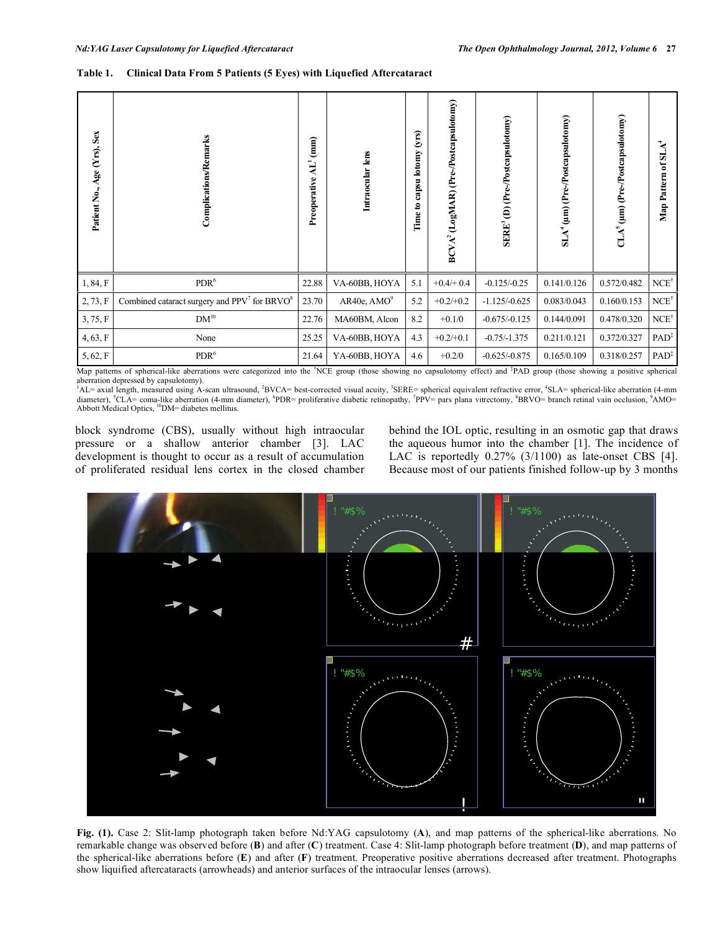#### **Table 1. Clinical Data From 5 Patients (5 Eyes) with Liquefied Aftercataract**

| Patient No., Age (Yrs), Sex | Complications/Remarks                            | (mm)<br>$\mathbf{H}^1$<br>Preoperative | Intraocular lens        | (yrs)<br>capsu lotomy<br>Time to | BCVA <sup>2</sup> (LogMAR) (Pre-/Postcapsulotomy) | SERE <sup>3</sup> (D) (Pre-/Postcapsulotomy) | $SLA^4(\mu m)$ (Pre-/Postcapsulotomy) | $CLA5$ (µm) (Pre-/Postcapsulotomy) | $\mathbf{A}^{\mathbf{t}}$<br>SJ.<br>ัธ<br>Map Pattern |
|-----------------------------|--------------------------------------------------|----------------------------------------|-------------------------|----------------------------------|---------------------------------------------------|----------------------------------------------|---------------------------------------|------------------------------------|-------------------------------------------------------|
| 1, 84, F                    | $\text{PDR}^6$                                   | 22.88                                  | VA-60BB, HOYA           | 5.1                              | $+0.4/+0.4$                                       | $-0.125/-0.25$                               | 0.141/0.126                           | 0.572/0.482                        | $NCE^{\dagger}$                                       |
| 2, 73, F                    | Combined cataract surgery and $PPV7$ for $BRVO8$ | 23.70                                  | AR40e, AMO <sup>9</sup> | 5.2                              | $+0.2/+0.2$                                       | $-1.125/-0.625$                              | 0.083/0.043                           | 0.160/0.153                        | $NCE^{\dagger}$                                       |
| 3, 75, F                    | $DM^{10}$                                        | 22.76                                  | MA60BM, Alcon           | 8.2                              | $+0.1/0$                                          | $-0.675/-0.125$                              | 0.144/0.091                           | 0.478/0.320                        | $NCE^{\dagger}$                                       |
| 4, 63, F                    | None                                             | 25.25                                  | VA-60BB, HOYA           | 4.3                              | $+0.2/+0.1$                                       | $-0.75/-1.375$                               | 0.211/0.121                           | 0.372/0.327                        | PAD <sup>‡</sup>                                      |
| 5, 62, F                    | PDR <sup>6</sup>                                 | 21.64                                  | YA-60BB, HOYA           | 4.6                              | $+0.2/0$                                          | $-0.625/-0.875$                              | 0.165/0.109                           | 0.318/0.257                        | $PAD^{\ddagger}$                                      |

Map patterns of spherical-like aberrations were categorized into the <sup>†</sup>NCE group (those showing no capsulotomy effect) and <sup>‡</sup>PAD group (those showing a positive spherical aberration depressed by capsulotomy).<br><sup>1</sup>AL= axial length, measured using A-scan ultrasound, <sup>2</sup>BVCA= best-corrected visual acuity, <sup>3</sup>SERE= spherical equivalent refractive error, <sup>4</sup>SLA= spherical-like aberration (4-mm)

diameter), <sup>S</sup>CLA= coma-like aberration (4-mm diameter), <sup>6</sup>PDR= proliferative diabetic retinopathy, <sup>7</sup>PPV= pars plana vitrectomy, <sup>8</sup>BRVO= branch retinal vain occlusion, <sup>9</sup>AMO=<br>Abbott Medical Optics, <sup>10</sup>DM= diabetes me

block syndrome (CBS), usually without high intraocular pressure or a shallow anterior chamber [3]. LAC development is thought to occur as a result of accumulation of proliferated residual lens cortex in the closed chamber behind the IOL optic, resulting in an osmotic gap that draws the aqueous humor into the chamber [1]. The incidence of LAC is reportedly 0.27% (3/1100) as late-onset CBS [4]. Because most of our patients finished follow-up by 3 months



**Fig. (1).** Case 2: Slit-lamp photograph taken before Nd:YAG capsulotomy (**A**), and map patterns of the spherical-like aberrations. No remarkable change was observed before (**B**) and after (**C**) treatment. Case 4: Slit-lamp photograph before treatment (**D**), and map patterns of the spherical-like aberrations before (**E**) and after (**F**) treatment. Preoperative positive aberrations decreased after treatment. Photographs show liquified aftercataracts (arrowheads) and anterior surfaces of the intraocular lenses (arrows).